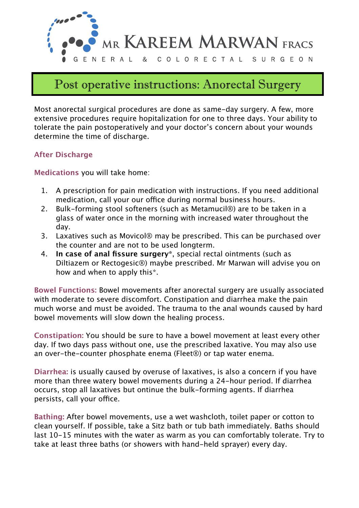

# Post operative instructions: Anorectal Surgery

Most anorectal surgical procedures are done as same-day surgery. A few, more extensive procedures require hopitalization for one to three days. Your ability to tolerate the pain postoperatively and your doctor's concern about your wounds determine the time of discharge.

## **After Discharge**

**Medications** you will take home:

- 1. A prescription for pain medication with instructions. If you need additional medication, call your our office during normal business hours.
- 2. Bulk-forming stool softeners (such as Metamucil®) are to be taken in a glass of water once in the morning with increased water throughout the day.
- 3. Laxatives such as Movicol® may be prescribed. This can be purchased over the counter and are not to be used longterm.
- 4. **In case of anal fissure surgery\***, special rectal ointments (such as Diltiazem or Rectogesic®) maybe prescribed. Mr Marwan will advise you on how and when to apply this\*.

**Bowel Functions:** Bowel movements after anorectal surgery are usually associated with moderate to severe discomfort. Constipation and diarrhea make the pain much worse and must be avoided. The trauma to the anal wounds caused by hard bowel movements will slow down the healing process.

**Constipation:** You should be sure to have a bowel movement at least every other day. If two days pass without one, use the prescribed laxative. You may also use an over-the-counter phosphate enema (Fleet®) or tap water enema.

**Diarrhea:** is usually caused by overuse of laxatives, is also a concern if you have more than three watery bowel movements during a 24-hour period. If diarrhea occurs, stop all laxatives but ontinue the bulk-forming agents. If diarrhea persists, call your office.

**Bathing:** After bowel movements, use a wet washcloth, toilet paper or cotton to clean yourself. If possible, take a Sitz bath or tub bath immediately. Baths should last 10-15 minutes with the water as warm as you can comfortably tolerate. Try to take at least three baths (or showers with hand-held sprayer) every day.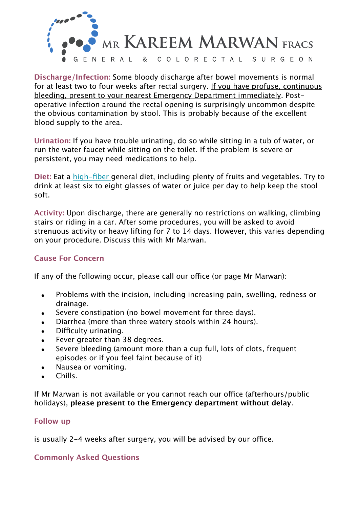

**Discharge/Infection:** Some bloody discharge after bowel movements is normal for at least two to four weeks after rectal surgery. If you have profuse, continuous bleeding, present to your nearest Emergency Department immediately. Postoperative infection around the rectal opening is surprisingly uncommon despite the obvious contamination by stool. This is probably because of the excellent blood supply to the area.

**Urination:** If you have trouble urinating, do so while sitting in a tub of water, or run the water faucet while sitting on the toilet. If the problem is severe or persistent, you may need medications to help.

**Diet:** Eat a [high-fiber](http://www.colonrectal.org/high_fiber.cfm) general diet, including plenty of fruits and vegetables. Try to drink at least six to eight glasses of water or juice per day to help keep the stool soft.

**Activity:** Upon discharge, there are generally no restrictions on walking, climbing stairs or riding in a car. After some procedures, you will be asked to avoid strenuous activity or heavy lifting for 7 to 14 days. However, this varies depending on your procedure. Discuss this with Mr Marwan.

### **Cause For Concern**

If any of the following occur, please call our office (or page Mr Marwan):

- Problems with the incision, including increasing pain, swelling, redness or drainage.
- Severe constipation (no bowel movement for three days).
- Diarrhea (more than three watery stools within 24 hours).
- Difficulty urinating.
- Fever greater than 38 degrees.
- Severe bleeding (amount more than a cup full, lots of clots, frequent episodes or if you feel faint because of it)
- Nausea or vomiting.
- Chills.

If Mr Marwan is not available or you cannot reach our office (afterhours/public holidays), **please present to the Emergency department without delay**.

#### **Follow up**

is usually 2-4 weeks after surgery, you will be advised by our office.

#### **Commonly Asked Questions**